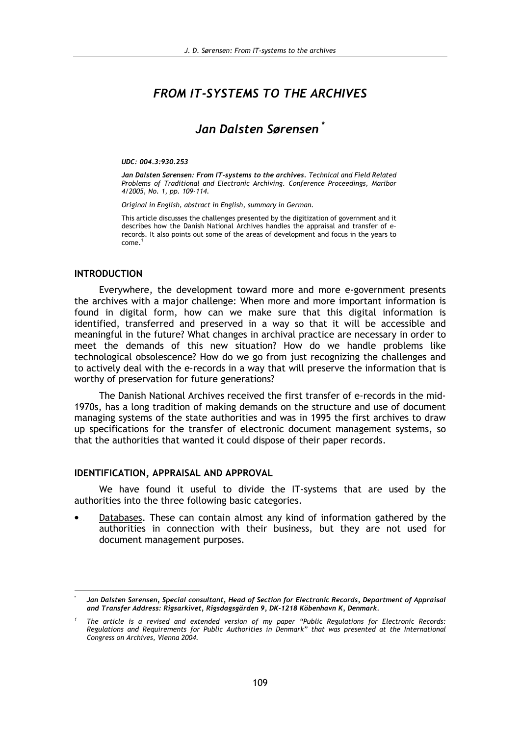# **FROM IT-SYSTEMS TO THE ARCHIVES**

# Jan Dalsten Sørensen<sup>'</sup>

#### UDC: 004.3:930.253

Jan Dalsten Sørensen: From IT-systems to the archives. Technical and Field Related Problems of Traditional and Electronic Archiving. Conference Proceedings, Maribor 4/2005, No. 1, pp. 109-114.

Original in English, abstract in English, summary in German.

This article discusses the challenges presented by the digitization of government and it describes how the Danish National Archives handles the appraisal and transfer of erecords. It also points out some of the areas of development and focus in the years to  $come<sup>1</sup>$ 

#### **INTRODUCTION**

Everywhere, the development toward more and more e-government presents the archives with a major challenge: When more and more important information is found in digital form, how can we make sure that this digital information is identified, transferred and preserved in a way so that it will be accessible and meaningful in the future? What changes in archival practice are necessary in order to meet the demands of this new situation? How do we handle problems like technological obsolescence? How do we go from just recognizing the challenges and to actively deal with the e-records in a way that will preserve the information that is worthy of preservation for future generations?

The Danish National Archives received the first transfer of e-records in the mid-1970s, has a long tradition of making demands on the structure and use of document managing systems of the state authorities and was in 1995 the first archives to draw up specifications for the transfer of electronic document management systems, so that the authorities that wanted it could dispose of their paper records.

#### IDENTIFICATION, APPRAISAL AND APPROVAL

We have found it useful to divide the IT-systems that are used by the authorities into the three following basic categories.

Databases. These can contain almost any kind of information gathered by the authorities in connection with their business, but they are not used for document management purposes.

Jan Dalsten Sørensen, Special consultant, Head of Section for Electronic Records, Department of Appraisal and Transfer Address: Rigsarkivet, Rigsdagsgärden 9, DK-1218 Köbenhavn K, Denmark.

The article is a revised and extended version of my paper "Public Regulations for Electronic Records: Regulations and Requirements for Public Authorities in Denmark" that was presented at the International Congress on Archives, Vienna 2004.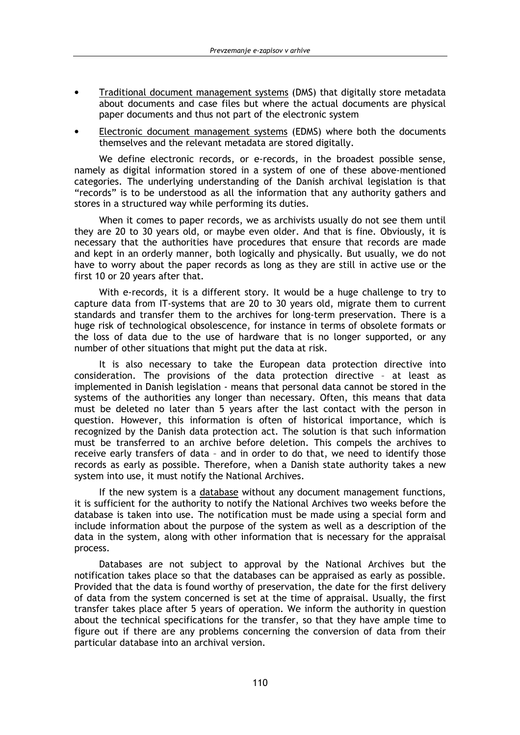- Traditional document management systems (DMS) that digitally store metadata about documents and case files but where the actual documents are physical paper documents and thus not part of the electronic system
- Electronic document management systems (EDMS) where both the documents themselves and the relevant metadata are stored digitally.

We define electronic records, or e-records, in the broadest possible sense, namely as digital information stored in a system of one of these above-mentioned categories. The underlying understanding of the Danish archival legislation is that "records" is to be understood as all the information that any authority gathers and stores in a structured way while performing its duties.

When it comes to paper records, we as archivists usually do not see them until they are 20 to 30 years old, or maybe even older. And that is fine. Obviously, it is necessary that the authorities have procedures that ensure that records are made and kept in an orderly manner, both logically and physically. But usually, we do not have to worry about the paper records as long as they are still in active use or the first 10 or 20 years after that.

With e-records, it is a different story. It would be a huge challenge to try to capture data from IT-systems that are 20 to 30 years old, migrate them to current standards and transfer them to the archives for long-term preservation. There is a huge risk of technological obsolescence, for instance in terms of obsolete formats or the loss of data due to the use of hardware that is no longer supported, or any number of other situations that might put the data at risk.

It is also necessary to take the European data protection directive into consideration. The provisions of the data protection directive - at least as implemented in Danish legislation - means that personal data cannot be stored in the systems of the authorities any longer than necessary. Often, this means that data must be deleted no later than 5 years after the last contact with the person in question. However, this information is often of historical importance, which is recognized by the Danish data protection act. The solution is that such information must be transferred to an archive before deletion. This compels the archives to receive early transfers of data - and in order to do that, we need to identify those records as early as possible. Therefore, when a Danish state authority takes a new system into use, it must notify the National Archives.

If the new system is a database without any document management functions, it is sufficient for the authority to notify the National Archives two weeks before the database is taken into use. The notification must be made using a special form and include information about the purpose of the system as well as a description of the data in the system, along with other information that is necessary for the appraisal process.

Databases are not subject to approval by the National Archives but the notification takes place so that the databases can be appraised as early as possible. Provided that the data is found worthy of preservation, the date for the first delivery of data from the system concerned is set at the time of appraisal. Usually, the first transfer takes place after 5 years of operation. We inform the authority in question about the technical specifications for the transfer, so that they have ample time to figure out if there are any problems concerning the conversion of data from their particular database into an archival version.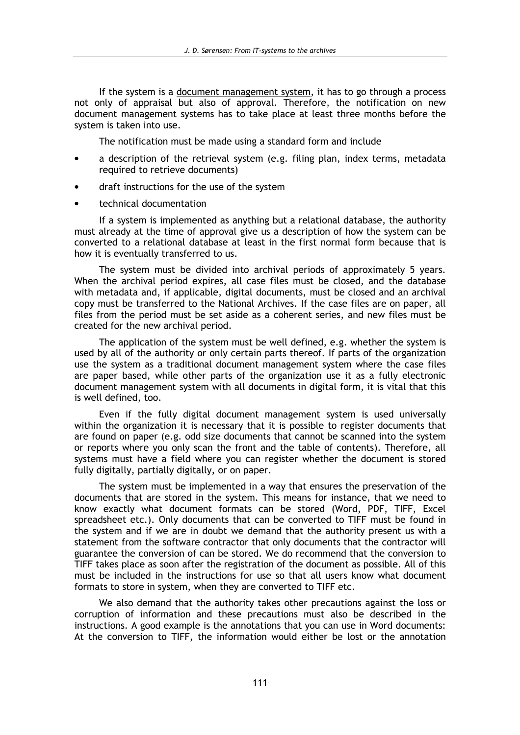If the system is a document management system, it has to go through a process not only of appraisal but also of approval. Therefore, the notification on new document management systems has to take place at least three months before the system is taken into use.

The notification must be made using a standard form and include

- a description of the retrieval system (e.g. filing plan, index terms, metadata required to retrieve documents)
- draft instructions for the use of the system
- technical documentation

If a system is implemented as anything but a relational database, the authority must already at the time of approval give us a description of how the system can be converted to a relational database at least in the first normal form because that is how it is eventually transferred to us.

The system must be divided into archival periods of approximately 5 years. When the archival period expires, all case files must be closed, and the database with metadata and, if applicable, digital documents, must be closed and an archival copy must be transferred to the National Archives. If the case files are on paper, all files from the period must be set aside as a coherent series, and new files must be created for the new archival period.

The application of the system must be well defined, e.g. whether the system is used by all of the authority or only certain parts thereof. If parts of the organization use the system as a traditional document management system where the case files are paper based, while other parts of the organization use it as a fully electronic document management system with all documents in digital form, it is vital that this is well defined, too.

Even if the fully digital document management system is used universally within the organization it is necessary that it is possible to register documents that are found on paper (e.g. odd size documents that cannot be scanned into the system or reports where you only scan the front and the table of contents). Therefore, all systems must have a field where you can register whether the document is stored fully digitally, partially digitally, or on paper.

The system must be implemented in a way that ensures the preservation of the documents that are stored in the system. This means for instance, that we need to know exactly what document formats can be stored (Word, PDF, TIFF, Excel spreadsheet etc.). Only documents that can be converted to TIFF must be found in the system and if we are in doubt we demand that the authority present us with a statement from the software contractor that only documents that the contractor will guarantee the conversion of can be stored. We do recommend that the conversion to TIFF takes place as soon after the registration of the document as possible. All of this must be included in the instructions for use so that all users know what document formats to store in system, when they are converted to TIFF etc.

We also demand that the authority takes other precautions against the loss or corruption of information and these precautions must also be described in the instructions. A good example is the annotations that you can use in Word documents: At the conversion to TIFF, the information would either be lost or the annotation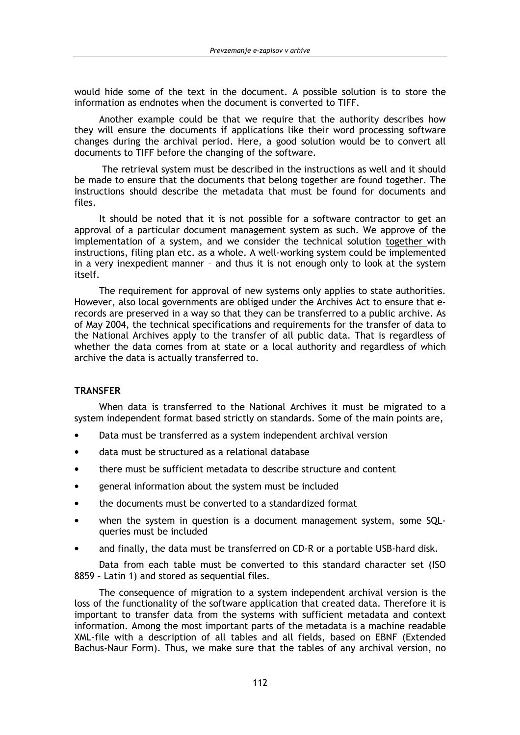would hide some of the text in the document. A possible solution is to store the information as endnotes when the document is converted to TIFF.

Another example could be that we require that the authority describes how they will ensure the documents if applications like their word processing software changes during the archival period. Here, a good solution would be to convert all documents to TIFF before the changing of the software.

The retrieval system must be described in the instructions as well and it should be made to ensure that the documents that belong together are found together. The instructions should describe the metadata that must be found for documents and files.

It should be noted that it is not possible for a software contractor to get an approval of a particular document management system as such. We approve of the implementation of a system, and we consider the technical solution together with instructions, filing plan etc. as a whole. A well-working system could be implemented in a very inexpedient manner - and thus it is not enough only to look at the system itself.

The requirement for approval of new systems only applies to state authorities. However, also local governments are obliged under the Archives Act to ensure that erecords are preserved in a way so that they can be transferred to a public archive. As of May 2004, the technical specifications and requirements for the transfer of data to the National Archives apply to the transfer of all public data. That is regardless of whether the data comes from at state or a local authority and regardless of which archive the data is actually transferred to.

## **TRANSFER**

When data is transferred to the National Archives it must be migrated to a system independent format based strictly on standards. Some of the main points are,

- Data must be transferred as a system independent archival version  $\bullet$
- data must be structured as a relational database
- there must be sufficient metadata to describe structure and content
- general information about the system must be included
- the documents must be converted to a standardized format
- when the system in question is a document management system, some SQLqueries must be included
- and finally, the data must be transferred on CD-R or a portable USB-hard disk.

Data from each table must be converted to this standard character set (ISO 8859 - Latin 1) and stored as sequential files.

The consequence of migration to a system independent archival version is the loss of the functionality of the software application that created data. Therefore it is important to transfer data from the systems with sufficient metadata and context information. Among the most important parts of the metadata is a machine readable XML-file with a description of all tables and all fields, based on EBNF (Extended Bachus-Naur Form). Thus, we make sure that the tables of any archival version, no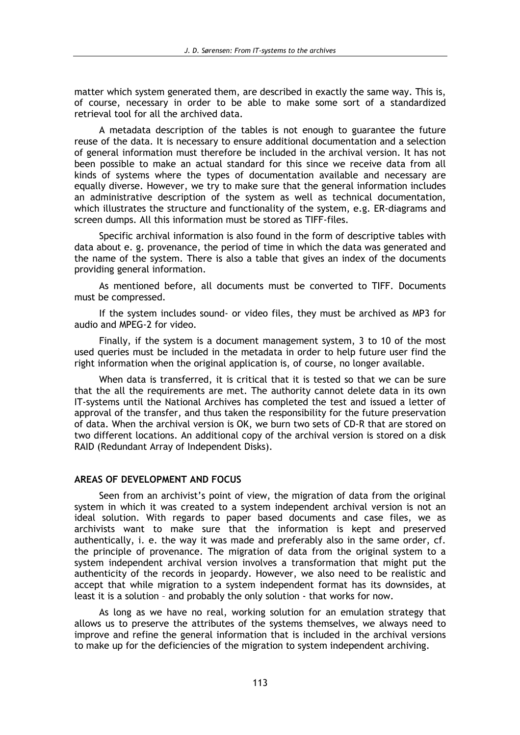matter which system generated them, are described in exactly the same way. This is, of course. necessary in order to be able to make some sort of a standardized retrieval tool for all the archived data.

A metadata description of the tables is not enough to guarantee the future reuse of the data. It is necessary to ensure additional documentation and a selection of general information must therefore be included in the archival version. It has not been possible to make an actual standard for this since we receive data from all kinds of systems where the types of documentation available and necessary are equally diverse. However, we try to make sure that the general information includes an administrative description of the system as well as technical documentation, which illustrates the structure and functionality of the system, e.g. ER-diagrams and screen dumps. All this information must be stored as TIFF-files.

Specific archival information is also found in the form of descriptive tables with data about e. g. provenance, the period of time in which the data was generated and the name of the system. There is also a table that gives an index of the documents providing general information.

As mentioned before, all documents must be converted to TIFF. Documents must be compressed.

If the system includes sound- or video files, they must be archived as MP3 for audio and MPEG-2 for video.

Finally, if the system is a document management system, 3 to 10 of the most used queries must be included in the metadata in order to help future user find the right information when the original application is, of course, no longer available.

When data is transferred, it is critical that it is tested so that we can be sure that the all the requirements are met. The authority cannot delete data in its own IT-systems until the National Archives has completed the test and issued a letter of approval of the transfer, and thus taken the responsibility for the future preservation of data. When the archival version is OK, we burn two sets of CD-R that are stored on two different locations. An additional copy of the archival version is stored on a disk RAID (Redundant Array of Independent Disks).

#### AREAS OF DEVELOPMENT AND FOCUS

Seen from an archivist's point of view, the migration of data from the original system in which it was created to a system independent archival version is not an ideal solution. With regards to paper based documents and case files, we as archivists want to make sure that the information is kept and preserved authentically, i. e. the way it was made and preferably also in the same order, cf. the principle of provenance. The migration of data from the original system to a system independent archival version involves a transformation that might put the authenticity of the records in jeopardy. However, we also need to be realistic and accept that while migration to a system independent format has its downsides, at least it is a solution - and probably the only solution - that works for now.

As long as we have no real, working solution for an emulation strategy that allows us to preserve the attributes of the systems themselves, we always need to improve and refine the general information that is included in the archival versions to make up for the deficiencies of the migration to system independent archiving.